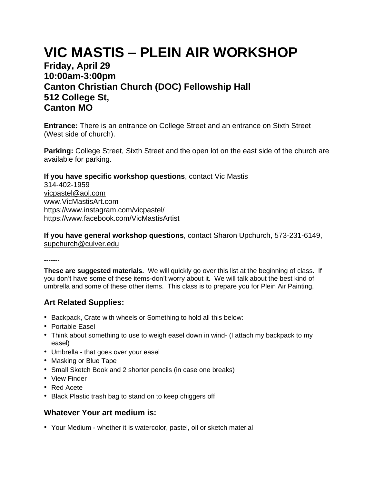# **VIC MASTIS – PLEIN AIR WORKSHOP**

## **Friday, April 29 10:00am-3:00pm Canton Christian Church (DOC) Fellowship Hall 512 College St, Canton MO**

**Entrance:** There is an entrance on College Street and an entrance on Sixth Street (West side of church).

**Parking:** College Street, Sixth Street and the open lot on the east side of the church are available for parking.

**If you have specific workshop questions**, contact Vic Mastis 314-402-1959 [vicpastel@aol.com](mailto:vicpastel@aol.com) www.VicMastisArt.com https://www.instagram.com/vicpastel/ https://www.facebook.com/VicMastisArtist

**If you have general workshop questions**, contact Sharon Upchurch, 573-231-6149, [supchurch@culver.edu](mailto:supchurch@culver.edu)

-------

**These are suggested materials.** We will quickly go over this list at the beginning of class. If you don't have some of these items-don't worry about it. We will talk about the best kind of umbrella and some of these other items. This class is to prepare you for Plein Air Painting.

## **Art Related Supplies:**

- Backpack, Crate with wheels or Something to hold all this below:
- Portable Easel
- Think about something to use to weigh easel down in wind- (I attach my backpack to my easel)
- Umbrella that goes over your easel
- Masking or Blue Tape
- Small Sketch Book and 2 shorter pencils (in case one breaks)
- View Finder
- Red Acete
- Black Plastic trash bag to stand on to keep chiggers off

#### **Whatever Your art medium is:**

• Your Medium - whether it is watercolor, pastel, oil or sketch material